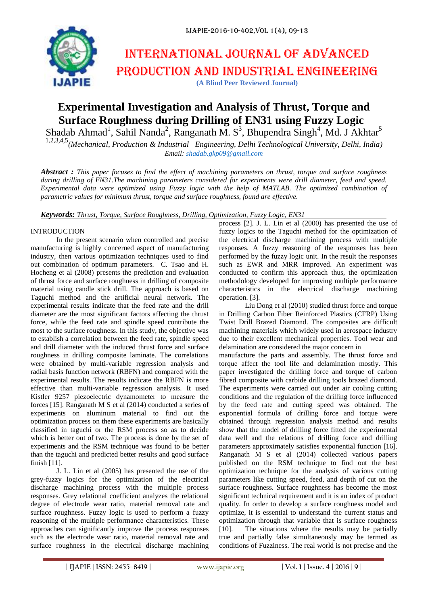# International journal of advanced production and industrial engineering **(A Blind Peer Reviewed Journal)**

# **Experimental Investigation and Analysis of Thrust, Torque and Surface Roughness during Drilling of EN31 using Fuzzy Logic**

Shadab Ahmad<sup>1</sup>, Sahil Nanda<sup>2</sup>, Ranganath M. S<sup>3</sup>, Bhupendra Singh<sup>4</sup>, Md. J Akhtar<sup>5</sup>

1,2,3,4,5*(Mechanical, Production & Industrial Engineering, Delhi Technological University, Delhi, India) Email: [shadab.gkp09@gmail.com](mailto:shadab.gkp09@gmail.com)*

*Abstract : This paper focuses to find the effect of machining parameters on thrust, torque and surface roughness during drilling of EN31.The machining parameters considered for experiments were drill diameter, feed and speed. Experimental data were optimized using Fuzzy logic with the help of MATLAB. The optimized combination of parametric values for minimum thrust, torque and surface roughness, found are effective.* 

*Keywords: Thrust, Torque, Surface Roughness, Drilling, Optimization, Fuzzy Logic, EN31*

## INTRODUCTION

In the present scenario when controlled and precise manufacturing is highly concerned aspect of manufacturing industry, then various optimization techniques used to find out combination of optimum parameters. C. Tsao and H. Hocheng et al (2008) presents the prediction and evaluation of thrust force and surface roughness in drilling of composite material using candle stick drill. The approach is based on Taguchi method and the artificial neural network. The experimental results indicate that the feed rate and the drill diameter are the most significant factors affecting the thrust force, while the feed rate and spindle speed contribute the most to the surface roughness. In this study, the objective was to establish a correlation between the feed rate, spindle speed and drill diameter with the induced thrust force and surface roughness in drilling composite laminate. The correlations were obtained by multi-variable regression analysis and radial basis function network (RBFN) and compared with the experimental results. The results indicate the RBFN is more effective than multi-variable regression analysis. It used Kistler 9257 piezoelectric dynamometer to measure the forces [15]. Ranganath M S et al (2014) conducted a series of experiments on aluminum material to find out the optimization process on them these experiments are basically classified in taguchi or the RSM process so as to decide which is better out of two. The process is done by the set of experiments and the RSM technique was found to be better than the taguchi and predicted better results and good surface finish [11].

J. L. Lin et al (2005) has presented the use of the grey-fuzzy logics for the optimization of the electrical discharge machining process with the multiple process responses. Grey relational coefficient analyzes the relational degree of electrode wear ratio, material removal rate and surface roughness. Fuzzy logic is used to perform a fuzzy reasoning of the multiple performance characteristics. These approaches can significantly improve the process responses such as the electrode wear ratio, material removal rate and surface roughness in the electrical discharge machining

process [2]. J. L. Lin et al (2000) has presented the use of fuzzy logics to the Taguchi method for the optimization of the electrical discharge machining process with multiple responses. A fuzzy reasoning of the responses has been performed by the fuzzy logic unit. In the result the responses such as EWR and MRR improved. An experiment was conducted to confirm this approach thus, the optimization methodology developed for improving multiple performance characteristics in the electrical discharge machining operation. [3].

Liu Dong et al (2010) studied thrust force and torque in Drilling Carbon Fiber Reinforced Plastics (CFRP) Using Twist Drill Brazed Diamond. The composites are difficult machining materials which widely used in aerospace industry due to their excellent mechanical properties. Tool wear and delamination are considered the major concern in manufacture the parts and assembly. The thrust force and torque affect the tool life and delamination mostly. This paper investigated the drilling force and torque of carbon fibred composite with carbide drilling tools brazed diamond. The experiments were carried out under air cooling cutting conditions and the regulation of the drilling force influenced by the feed rate and cutting speed was obtained. The exponential formula of drilling force and torque were obtained through regression analysis method and results show that the model of drilling force fitted the experimental data well and the relations of drilling force and drilling parameters approximately satisfies exponential function [16]. Ranganath M S et al (2014) collected various papers published on the RSM technique to find out the best optimization technique for the analysis of various cutting parameters like cutting speed, feed, and depth of cut on the surface roughness. Surface roughness has become the most significant technical requirement and it is an index of product quality. In order to develop a surface roughness model and optimize, it is essential to understand the current status and optimization through that variable that is surface roughness [10]. The situations where the results may be partially true and partially false simultaneously may be termed as conditions of Fuzziness. The real world is not precise and the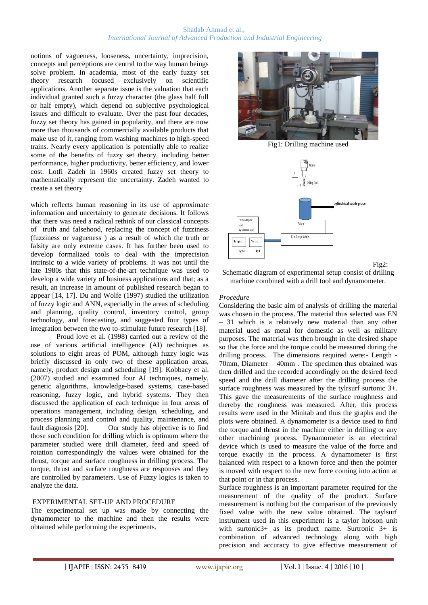## Shadab Ahmad et al., *International Journal of Advanced Production and Industrial Engineering*

notions of vagueness, looseness, uncertainty, imprecision, concepts and perceptions are central to the way human beings solve problem. In academia, most of the early fuzzy set theory research focused exclusively on scientific applications. Another separate issue is the valuation that each individual granted such a fuzzy character (the glass half full or half empty), which depend on subjective psychological issues and difficult to evaluate. Over the past four decades, fuzzy set theory has gained in popularity, and there are now more than thousands of commercially available products that make use of it, ranging from washing machines to high-speed trains. Nearly every application is potentially able to realize some of the benefits of fuzzy set theory, including better performance, higher productivity, better efficiency, and lower cost. Lotfi Zadeh in 1960s created fuzzy set theory to mathematically represent the uncertainty. Zadeh wanted to create a set theory

which reflects human reasoning in its use of approximate information and uncertainty to generate decisions. It follows that there was need a radical rethink of our classical concepts of truth and falsehood, replacing the concept of fuzziness (fuzziness or vagueness ) as a result of which the truth or falsity are only extreme cases. It has further been used to develop formalized tools to deal with the imprecision intrinsic to a wide variety of problems. It was not until the late 1980s that this state-of-the-art technique was used to develop a wide variety of business applications and that; as a result, an increase in amount of published research began to appear [14, 17]. Du and Wolfe (1997) studied the utilization of fuzzy logic and ANN, especially in the areas of scheduling and planning, quality control, inventory control, group technology, and forecasting, and suggested four types of integration between the two to-stimulate future research [18].

Proud love et al. (1998) carried out a review of the use of various artificial intelligence (AI) techniques as solutions to eight areas of POM, although fuzzy logic was briefly discussed in only two of these application areas, namely, product design and scheduling [19]. Kobbacy et al. (2007) studied and examined four AI techniques, namely, genetic algorithms, knowledge-based systems, case-based reasoning, fuzzy logic, and hybrid systems. They then discussed the application of each technique in four areas of operations management, including design, scheduling, and process planning and control and quality, maintenance, and fault diagnosis [20]. Our study has objective is to find those such condition for drilling which is optimum where the parameter studied were drill diameter, feed and speed of rotation correspondingly the values were obtained for the thrust, torque and surface roughness in drilling process. The torque, thrust and surface roughness are responses and they are controlled by parameters. Use of Fuzzy logics is taken to analyze the data.

#### EXPERIMENTAL SET-UP AND PROCEDURE

The experimental set up was made by connecting the dynamometer to the machine and then the results were obtained while performing the experiments.



Fig1: Drilling machine used



Fig2:

Schematic diagram of experimental setup consist of drilling machine combined with a drill tool and dynamometer.

# *Procedure*

Considering the basic aim of analysis of drilling the material was chosen in the process. The material thus selected was EN – 31 which is a relatively new material than any other material used as metal for domestic as well as military purposes. The material was then brought in the desired shape so that the force and the torque could be measured during the drilling process. The dimensions required were:- Length - 70mm, Diameter – 40mm . The specimen thus obtained was then drilled and the recorded accordingly on the desired feed speed and the drill diameter after the drilling process the surface roughness was measured by the tylrsurf surtonic 3+. This gave the measurements of the surface roughness and thereby the roughness was measured. After, this process results were used in the Minitab and thus the graphs and the plots were obtained. A dynamometer is a device used to find the torque and thrust in the machine either in drilling or any other machining process. Dynamometer is an electrical device which is used to measure the value of the force and torque exactly in the process. A dynamometer is first balanced with respect to a known force and then the pointer is moved with respect to the new force coming into action at that point or in that process.

Surface roughness is an important parameter required for the measurement of the quality of the product. Surface measurement is nothing but the comparison of the previously fixed value with the new value obtained. The taylsurf instrument used in this experiment is a taylor hobson unit with surtonic3+ as its product name. Surtronic 3+ is combination of advanced technology along with high precision and accuracy to give effective measurement of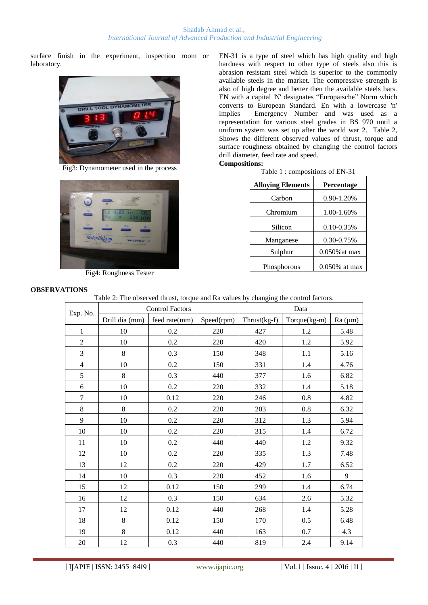surface finish in the experiment, inspection room or laboratory.



Fig3: Dynamometer used in the process



Fig4: Roughness Tester

EN-31 is a type of steel which has high quality and high hardness with respect to other type of steels also this is abrasion resistant steel which is superior to the commonly available steels in the market. The compressive strength is also of high degree and better then the available steels bars. EN with a capital 'N' designates "Europäische" Norm which converts to European Standard. En with a lowercase 'n' implies Emergency Number and was used as a representation for various steel grades in BS 970 until a uniform system was set up after the world war 2. Table 2, Shows the different observed values of thrust, torque and surface roughness obtained by changing the control factors drill diameter, feed rate and speed. **Compositions:**

| <b>Alloying Elements</b> | Percentage       |  |  |
|--------------------------|------------------|--|--|
| Carbon                   | 0.90-1.20%       |  |  |
| Chromium                 | 1.00-1.60%       |  |  |
|                          |                  |  |  |
| Silicon                  | $0.10 - 0.35\%$  |  |  |
| Manganese                | 0.30-0.75%       |  |  |
| Sulphur                  | $0.050\%$ at max |  |  |
| Phosphorous              | 0.050% at max    |  |  |
|                          |                  |  |  |

# **OBSERVATIONS**

Table 2: The observed thrust, torque and Ra values by changing the control factors.

| Exp. No.                | <b>Control Factors</b> |               |            | Data           |                |         |  |
|-------------------------|------------------------|---------------|------------|----------------|----------------|---------|--|
|                         | Drill dia (mm)         | feed rate(mm) | Speed(rpm) | $Thrust(kg-f)$ | $Torque(kg-m)$ | Ra (µm) |  |
| $\,1$                   | 10                     | $0.2\,$       | 220        | 427            | 1.2            | 5.48    |  |
| $\sqrt{2}$              | 10                     | 0.2           | 220        | 420            | 1.2            | 5.92    |  |
| 3                       | $8\,$                  | 0.3           | 150        | 348            | 1.1            | 5.16    |  |
| $\overline{\mathbf{4}}$ | 10                     | 0.2           | 150        | 331            | 1.4            | 4.76    |  |
| 5                       | 8                      | 0.3           | 440        | 377            | 1.6            | 6.82    |  |
| $\boldsymbol{6}$        | 10                     | $0.2\,$       | 220        | 332            | 1.4            | 5.18    |  |
| $\boldsymbol{7}$        | 10                     | 0.12          | 220        | 246            | 0.8            | 4.82    |  |
| $\,8\,$                 | 8                      | $0.2\,$       | 220        | 203            | $0.8\,$        | 6.32    |  |
| 9                       | 10                     | 0.2           | 220        | 312            | 1.3            | 5.94    |  |
| 10                      | 10                     | 0.2           | 220        | 315            | 1.4            | 6.72    |  |
| 11                      | 10                     | $0.2\,$       | 440        | 440            | 1.2            | 9.32    |  |
| 12                      | 10                     | $0.2\,$       | 220        | 335            | 1.3            | 7.48    |  |
| 13                      | 12                     | 0.2           | 220        | 429            | 1.7            | 6.52    |  |
| 14                      | 10                     | 0.3           | 220        | 452            | 1.6            | 9       |  |
| 15                      | 12                     | 0.12          | 150        | 299            | 1.4            | 6.74    |  |
| 16                      | 12                     | 0.3           | 150        | 634            | 2.6            | 5.32    |  |
| 17                      | 12                     | 0.12          | 440        | 268            | 1.4            | 5.28    |  |
| 18                      | $\,8\,$                | 0.12          | 150        | 170            | $0.5\,$        | 6.48    |  |
| 19                      | $\,8\,$                | 0.12          | 440        | 163            | 0.7            | 4.3     |  |
| 20                      | 12                     | 0.3           | 440        | 819            | 2.4            | 9.14    |  |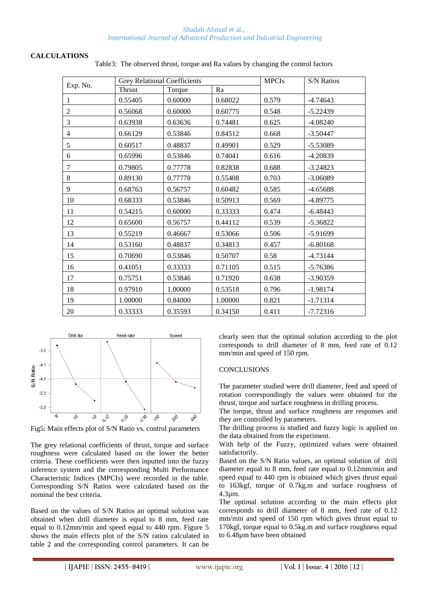Shadab Ahmad et al., *International Journal of Advanced Production and Industrial Engineering*

#### **CALCULATIONS**

| Exp. No.       | <b>Grey Relational Coefficients</b> |         |         | <b>MPCIs</b> | <b>S/N Ratios</b> |  |
|----------------|-------------------------------------|---------|---------|--------------|-------------------|--|
|                | Thrust                              | Torque  | Ra      |              |                   |  |
| 1              | 0.55405                             | 0.60000 | 0.68022 | 0.579        | $-4.74643$        |  |
| $\overline{2}$ | 0.56068                             | 0.60000 | 0.60775 | 0.548        | $-5.22439$        |  |
| 3              | 0.63938                             | 0.63636 | 0.74481 | 0.625        | $-4.08240$        |  |
| 4              | 0.66129                             | 0.53846 | 0.84512 | 0.668        | $-3.50447$        |  |
| 5              | 0.60517                             | 0.48837 | 0.49901 | 0.529        | $-5.53089$        |  |
| 6              | 0.65996                             | 0.53846 | 0.74041 | 0.616        | $-4.20839$        |  |
| 7              | 0.79805                             | 0.77778 | 0.82838 | 0.688        | $-3.24823$        |  |
| 8              | 0.89130                             | 0.77778 | 0.55408 | 0.703        | $-3.06089$        |  |
| 9              | 0.68763                             | 0.56757 | 0.60482 | 0.585        | $-4.65688$        |  |
| 10             | 0.68333                             | 0.53846 | 0.50913 | 0.569        | $-4.89775$        |  |
| 11             | 0.54215                             | 0.60000 | 0.33333 | 0.474        | $-6.48443$        |  |
| 12             | 0.65600                             | 0.56757 | 0.44112 | 0.539        | $-5.36822$        |  |
| 13             | 0.55219                             | 0.46667 | 0.53066 | 0.506        | $-5.91699$        |  |
| 14             | 0.53160                             | 0.48837 | 0.34813 | 0.457        | $-6.80168$        |  |
| 15             | 0.70690                             | 0.53846 | 0.50707 | 0.58         | $-4.73144$        |  |
| 16             | 0.41051                             | 0.33333 | 0.71105 | 0.515        | $-5.76386$        |  |
| 17             | 0.75751                             | 0.53846 | 0.71920 | 0.638        | $-3.90359$        |  |
| 18             | 0.97910                             | 1.00000 | 0.53518 | 0.796        | $-1.98174$        |  |
| 19             | 1.00000                             | 0.84000 | 1.00000 | 0.821        | $-1.71314$        |  |
| 20             | 0.33333                             | 0.35593 | 0.34150 | 0.411        | $-7.72316$        |  |

Table3: The observed thrust, torque and Ra values by changing the control factors



Fig5: Main effects plot of S/N Ratio vs. control parameters

The grey relational coefficients of thrust, torque and surface roughness were calculated based on the lower the better criteria. These coefficients were then inputted into the fuzzy inference system and the corresponding Multi Performance Characteristic Indices (MPCIs) were recorded in the table. Corresponding S/N Ratios were calculated based on the nominal the best criteria.

Based on the values of S/N Ratios an optimal solution was obtained when drill diameter is equal to 8 mm, feed rate equal to 0.12mm/min and speed equal to 440 rpm. Figure 5 shows the main effects plot of the S/N ratios calculated in table 2 and the corresponding control parameters. It can be clearly seen that the optimal solution according to the plot corresponds to drill diameter of 8 mm, feed rate of 0.12 mm/min and speed of 150 rpm.

## **CONCLUSIONS**

The parameter studied were drill diameter, feed and speed of rotation correspondingly the values were obtained for the thrust, torque and surface roughness in drilling process.

The torque, thrust and surface roughness are responses and they are controlled by parameters.

The drilling process is studied and fuzzy logic is applied on the data obtained from the experiment.

With help of the Fuzzy, optimized values were obtained satisfactorily.

Based on the S/N Ratio values, an optimal solution of drill diameter equal to 8 mm, feed rate equal to 0.12mm/min and speed equal to 440 rpm is obtained which gives thrust equal to 163kgf, torque of 0.7kg.m and surface roughness of 4.3µm.

The optimal solution according to the main effects plot corresponds to drill diameter of 8 mm, feed rate of 0.12 mm/min and speed of 150 rpm which gives thrust equal to 170kgf, torque equal to 0.5kg.m and surface roughness equal to 6.48µm have been obtained